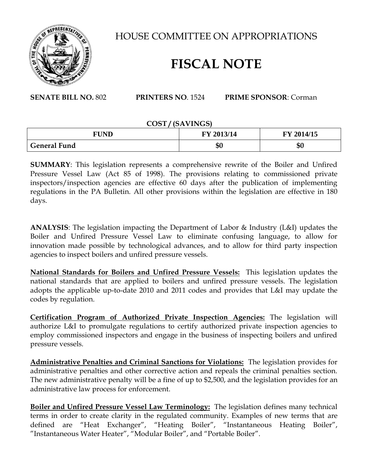

HOUSE COMMITTEE ON APPROPRIATIONS

## **FISCAL NOTE**

**SENATE BILL NO.** 802 **PRINTERS NO**. 1524 **PRIME SPONSOR**: Corman

## **COST / (SAVINGS)**

| FUND                | FY 2013/14 | FY 2014/15 |
|---------------------|------------|------------|
| <b>General Fund</b> | ድር<br>Φυ   | \$0        |

**SUMMARY**: This legislation represents a comprehensive rewrite of the Boiler and Unfired Pressure Vessel Law (Act 85 of 1998). The provisions relating to commissioned private inspectors/inspection agencies are effective 60 days after the publication of implementing regulations in the PA Bulletin. All other provisions within the legislation are effective in 180 days.

**ANALYSIS**: The legislation impacting the Department of Labor & Industry (L&I) updates the Boiler and Unfired Pressure Vessel Law to eliminate confusing language, to allow for innovation made possible by technological advances, and to allow for third party inspection agencies to inspect boilers and unfired pressure vessels.

**National Standards for Boilers and Unfired Pressure Vessels:** This legislation updates the national standards that are applied to boilers and unfired pressure vessels. The legislation adopts the applicable up-to-date 2010 and 2011 codes and provides that L&I may update the codes by regulation.

**Certification Program of Authorized Private Inspection Agencies:** The legislation will authorize L&I to promulgate regulations to certify authorized private inspection agencies to employ commissioned inspectors and engage in the business of inspecting boilers and unfired pressure vessels.

**Administrative Penalties and Criminal Sanctions for Violations:** The legislation provides for administrative penalties and other corrective action and repeals the criminal penalties section. The new administrative penalty will be a fine of up to \$2,500, and the legislation provides for an administrative law process for enforcement.

**Boiler and Unfired Pressure Vessel Law Terminology:** The legislation defines many technical terms in order to create clarity in the regulated community. Examples of new terms that are defined are "Heat Exchanger", "Heating Boiler", "Instantaneous Heating Boiler", "Instantaneous Water Heater", "Modular Boiler", and "Portable Boiler".